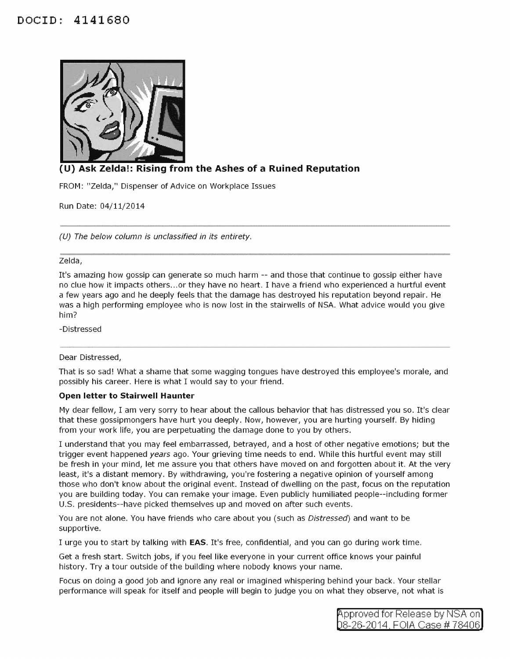

# **(U) Ask Zelda!: Rising from the Ashes of a Ruined Reputation**

FROM: "Zelda," Dispenser of Advice on Workplace Issues

Run Date: 04/11/2014

(U) The below column is unclassified in its entirety.

### Zelda,

It's amazing how gossip can generate so much harm -- and those that continue to gossip either have no clue how it impacts others ... or they have no heart. I have a friend who experienced a hurtful event a few years ago and he deeply feels that the damage has destroyed his reputation beyond repair. He was a high performing employee who is now lost in the stairwells of NSA. What advice would you give him?

-Distressed

### Dear Distressed,

That is so sad! What a shame that some wagging tongues have destroyed this employee's morale, and possibly his career. Here is what I would say to your friend.

### **Open letter to Stairwell Haunter**

My dear fellow, I am very sorry to hear about the callous behavior that has distressed you so. It's clear that these gossipmongers have hurt you deeply. Now, however, you are hurting yourself. By hiding from your work life, you are perpetuating the damage done to you by others.

I understand that you may feel embarrassed, betrayed, and a host of other negative emotions; but the trigger event happened years ago. Your grieving time needs to end. While this hurtful event may still be fresh in your mind, let me assure you that others have moved on and forgotten about it. At the very least, it's a distant memory. By withdrawing, you're fostering a negative opinion of yourself among those who don't know about the original event. Instead of dwelling on the past, focus on the reputation you are building today. You can remake your image. Even publicly humiliated people--including former U.S. presidents--have picked themselves up and moved on after such events.

You are not alone. You have friends who care about you (such as Distressed) and want to be supportive.

I urge you to start by talking with **EAS.** It's free, confidential, and you can go during work time.

Get a fresh start. Switch jobs, if you feel like everyone in your current office knows your painful history. Try a tour outside of the building where nobody knows your name.

Focus on doing a good job and ignore any real or imagined whispering behind your back. Your stellar performance will speak for itself and people will begin to judge you on what they observe, not what is

> pproved for Release by NSA on 8-26-2014 FOIA Case# 78406